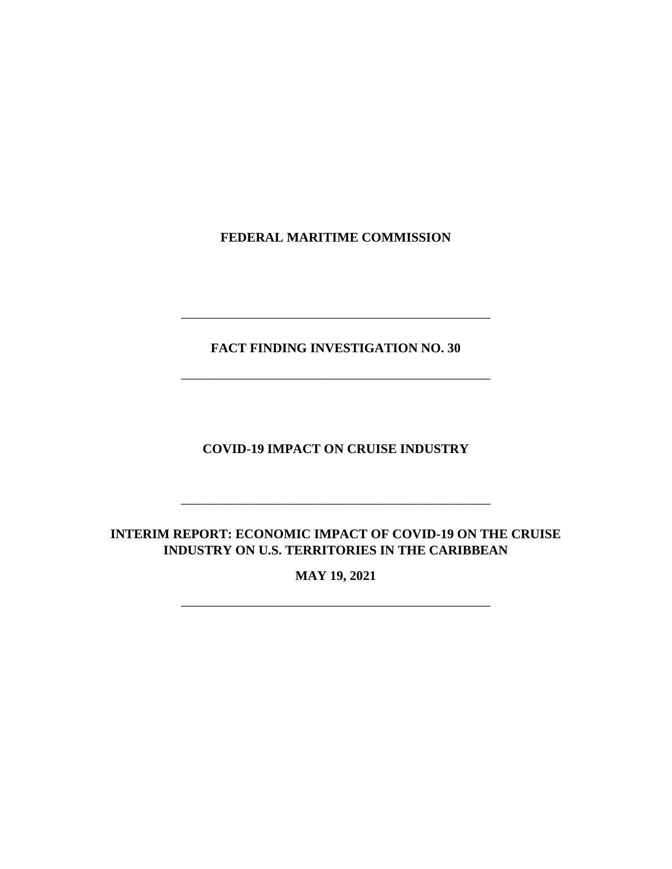**FEDERAL MARITIME COMMISSION**

**FACT FINDING INVESTIGATION NO. 30**

\_\_\_\_\_\_\_\_\_\_\_\_\_\_\_\_\_\_\_\_\_\_\_\_\_\_\_\_\_\_\_\_\_\_\_\_\_\_\_\_\_\_\_\_\_\_\_

\_\_\_\_\_\_\_\_\_\_\_\_\_\_\_\_\_\_\_\_\_\_\_\_\_\_\_\_\_\_\_\_\_\_\_\_\_\_\_\_\_\_\_\_\_\_\_

**COVID-19 IMPACT ON CRUISE INDUSTRY**

# **INTERIM REPORT: ECONOMIC IMPACT OF COVID-19 ON THE CRUISE INDUSTRY ON U.S. TERRITORIES IN THE CARIBBEAN**

\_\_\_\_\_\_\_\_\_\_\_\_\_\_\_\_\_\_\_\_\_\_\_\_\_\_\_\_\_\_\_\_\_\_\_\_\_\_\_\_\_\_\_\_\_\_\_

**MAY 19, 2021**

\_\_\_\_\_\_\_\_\_\_\_\_\_\_\_\_\_\_\_\_\_\_\_\_\_\_\_\_\_\_\_\_\_\_\_\_\_\_\_\_\_\_\_\_\_\_\_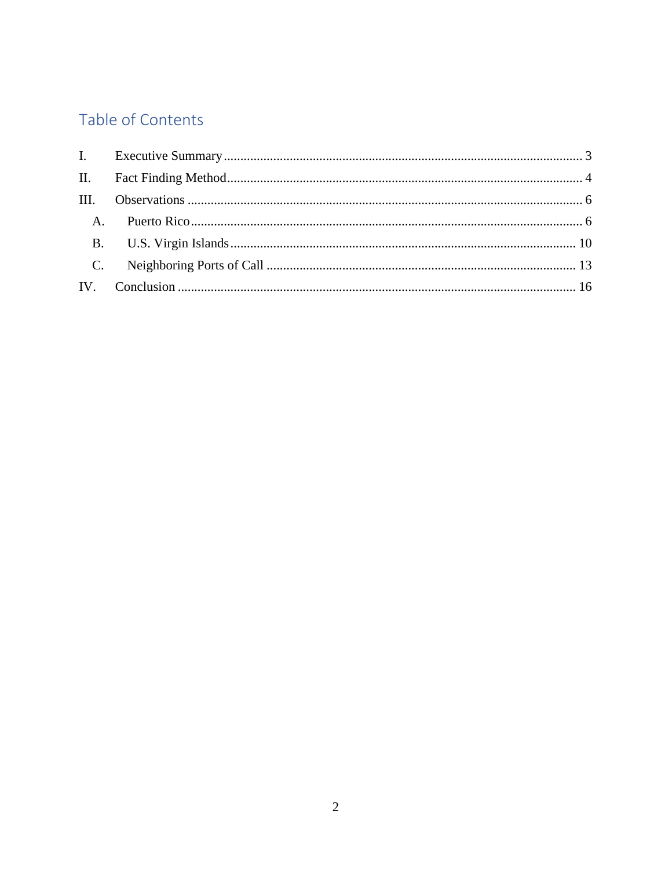# Table of Contents

| C. |  |
|----|--|
|    |  |
|    |  |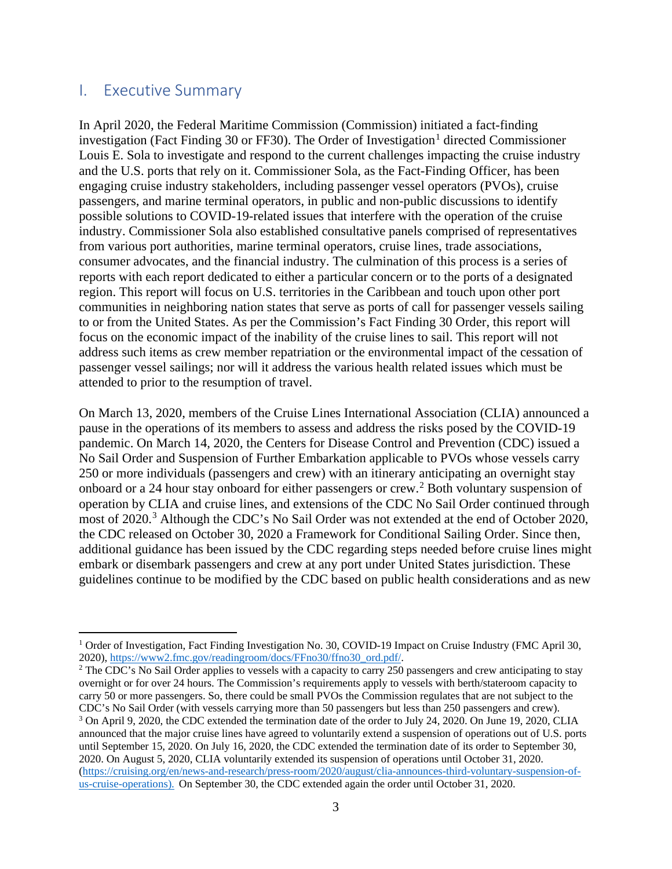# <span id="page-2-0"></span>I. Executive Summary

In April 2020, the Federal Maritime Commission (Commission) initiated a fact-finding investigation (Fact Finding 30 or FF30). The Order of Investigation<sup>[1](#page-2-1)</sup> directed Commissioner Louis E. Sola to investigate and respond to the current challenges impacting the cruise industry and the U.S. ports that rely on it. Commissioner Sola, as the Fact-Finding Officer, has been engaging cruise industry stakeholders, including passenger vessel operators (PVOs), cruise passengers, and marine terminal operators, in public and non-public discussions to identify possible solutions to COVID-19-related issues that interfere with the operation of the cruise industry. Commissioner Sola also established consultative panels comprised of representatives from various port authorities, marine terminal operators, cruise lines, trade associations, consumer advocates, and the financial industry. The culmination of this process is a series of reports with each report dedicated to either a particular concern or to the ports of a designated region. This report will focus on U.S. territories in the Caribbean and touch upon other port communities in neighboring nation states that serve as ports of call for passenger vessels sailing to or from the United States. As per the Commission's Fact Finding 30 Order, this report will focus on the economic impact of the inability of the cruise lines to sail. This report will not address such items as crew member repatriation or the environmental impact of the cessation of passenger vessel sailings; nor will it address the various health related issues which must be attended to prior to the resumption of travel.

On March 13, 2020, members of the Cruise Lines International Association (CLIA) announced a pause in the operations of its members to assess and address the risks posed by the COVID-19 pandemic. On March 14, 2020, the Centers for Disease Control and Prevention (CDC) issued a No Sail Order and Suspension of Further Embarkation applicable to PVOs whose vessels carry 250 or more individuals (passengers and crew) with an itinerary anticipating an overnight stay onboard or a 24 hour stay onboard for either passengers or crew.[2](#page-2-2) Both voluntary suspension of operation by CLIA and cruise lines, and extensions of the CDC No Sail Order continued through most of 2020.<sup>[3](#page-2-3)</sup> Although the CDC's No Sail Order was not extended at the end of October 2020, the CDC released on October 30, 2020 a Framework for Conditional Sailing Order. Since then, additional guidance has been issued by the CDC regarding steps needed before cruise lines might embark or disembark passengers and crew at any port under United States jurisdiction. These guidelines continue to be modified by the CDC based on public health considerations and as new

<span id="page-2-2"></span><sup>2</sup> The CDC's No Sail Order applies to vessels with a capacity to carry 250 passengers and crew anticipating to stay overnight or for over 24 hours. The Commission's requirements apply to vessels with berth/stateroom capacity to carry 50 or more passengers. So, there could be small PVOs the Commission regulates that are not subject to the CDC's No Sail Order (with vessels carrying more than 50 passengers but less than 250 passengers and crew).

<span id="page-2-1"></span><sup>&</sup>lt;sup>1</sup> Order of Investigation, Fact Finding Investigation No. 30, COVID-19 Impact on Cruise Industry (FMC April 30, 2020), https://www2.fmc.gov/readingroom/docs/FFno30/ffno30 ord.pdf/.

<span id="page-2-3"></span><sup>3</sup> On April 9, 2020, the CDC extended the termination date of the order to July 24, 2020. On June 19, 2020, CLIA announced that the major cruise lines have agreed to voluntarily extend a suspension of operations out of U.S. ports until September 15, 2020. On July 16, 2020, the CDC extended the termination date of its order to September 30, 2020. On August 5, 2020, CLIA voluntarily extended its suspension of operations until October 31, 2020. [\(https://cruising.org/en/news-and-research/press-room/2020/august/clia-announces-third-voluntary-suspension-of](https://cruising.org/en/news-and-research/press-room/2020/august/clia-announces-third-voluntary-suspension-of-us-cruise-operations)[us-cruise-operations\)](https://cruising.org/en/news-and-research/press-room/2020/august/clia-announces-third-voluntary-suspension-of-us-cruise-operations). On September 30, the CDC extended again the order until October 31, 2020.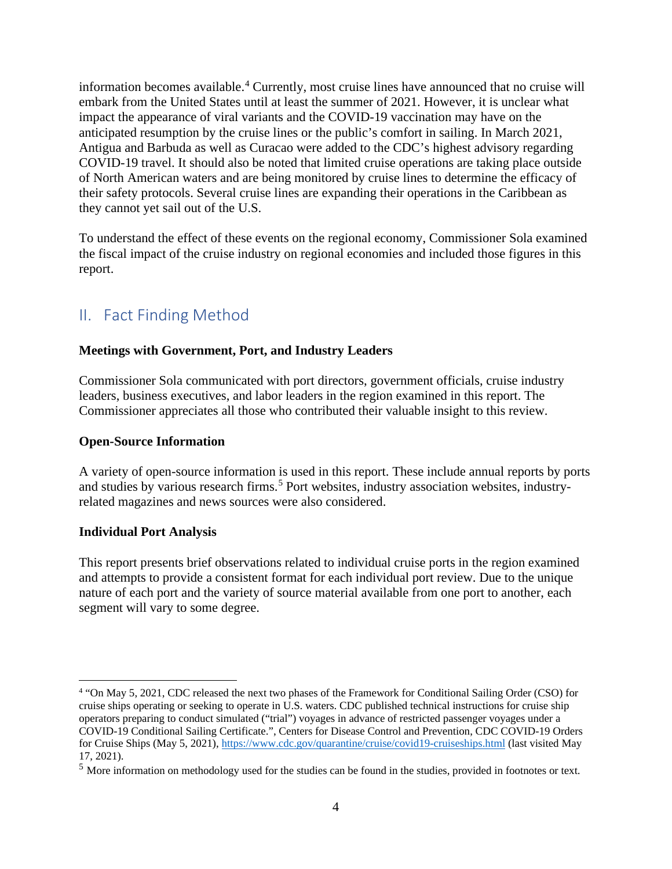information becomes available. [4](#page-3-1) Currently, most cruise lines have announced that no cruise will embark from the United States until at least the summer of 2021. However, it is unclear what impact the appearance of viral variants and the COVID-19 vaccination may have on the anticipated resumption by the cruise lines or the public's comfort in sailing. In March 2021, Antigua and Barbuda as well as Curacao were added to the CDC's highest advisory regarding COVID-19 travel. It should also be noted that limited cruise operations are taking place outside of North American waters and are being monitored by cruise lines to determine the efficacy of their safety protocols. Several cruise lines are expanding their operations in the Caribbean as they cannot yet sail out of the U.S.

To understand the effect of these events on the regional economy, Commissioner Sola examined the fiscal impact of the cruise industry on regional economies and included those figures in this report.

# <span id="page-3-0"></span>II. Fact Finding Method

#### **Meetings with Government, Port, and Industry Leaders**

Commissioner Sola communicated with port directors, government officials, cruise industry leaders, business executives, and labor leaders in the region examined in this report. The Commissioner appreciates all those who contributed their valuable insight to this review.

#### **Open-Source Information**

A variety of open-source information is used in this report. These include annual reports by ports and studies by various research firms.<sup>[5](#page-3-2)</sup> Port websites, industry association websites, industryrelated magazines and news sources were also considered.

#### **Individual Port Analysis**

This report presents brief observations related to individual cruise ports in the region examined and attempts to provide a consistent format for each individual port review. Due to the unique nature of each port and the variety of source material available from one port to another, each segment will vary to some degree.

<span id="page-3-1"></span><sup>4</sup> "On May 5, 2021, CDC released the next two phases of the Framework for Conditional Sailing Order (CSO) for cruise ships operating or seeking to operate in U.S. waters. CDC published technical instructions for cruise ship operators preparing to conduct simulated ("trial") voyages in advance of restricted passenger voyages under a COVID-19 Conditional Sailing Certificate.", Centers for Disease Control and Prevention, CDC COVID-19 Orders for Cruise Ships (May 5, 2021),<https://www.cdc.gov/quarantine/cruise/covid19-cruiseships.html> (last visited May 17, 2021).

<span id="page-3-2"></span><sup>5</sup> More information on methodology used for the studies can be found in the studies, provided in footnotes or text.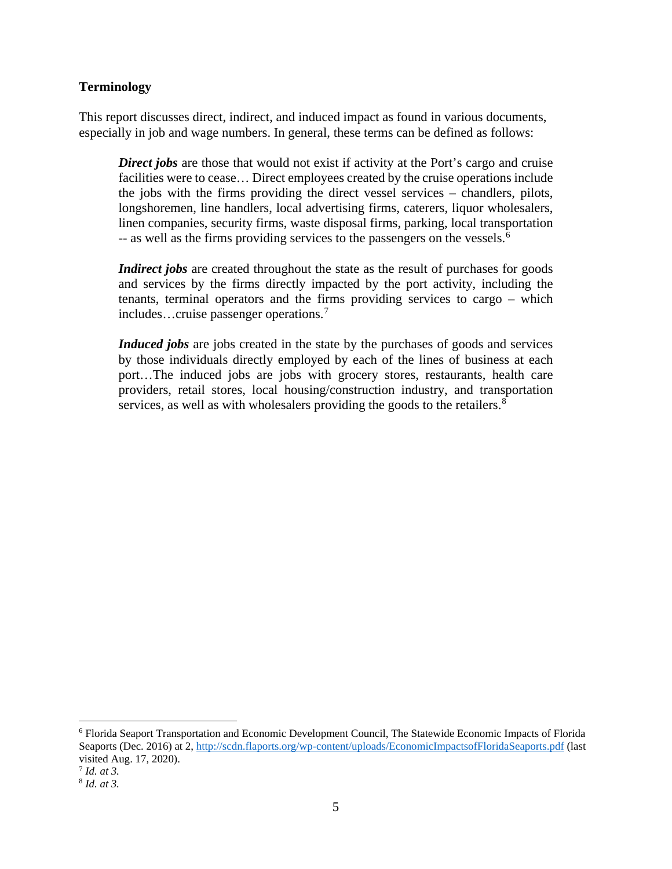#### **Terminology**

This report discusses direct, indirect, and induced impact as found in various documents, especially in job and wage numbers. In general, these terms can be defined as follows:

**Direct jobs** are those that would not exist if activity at the Port's cargo and cruise facilities were to cease… Direct employees created by the cruise operations include the jobs with the firms providing the direct vessel services – chandlers, pilots, longshoremen, line handlers, local advertising firms, caterers, liquor wholesalers, linen companies, security firms, waste disposal firms, parking, local transportation -- as well as the firms providing services to the passengers on the vessels.<sup>[6](#page-4-0)</sup>

*Indirect jobs* are created throughout the state as the result of purchases for goods and services by the firms directly impacted by the port activity, including the tenants, terminal operators and the firms providing services to cargo – which includes…cruise passenger operations.[7](#page-4-1)

*Induced jobs* are jobs created in the state by the purchases of goods and services by those individuals directly employed by each of the lines of business at each port…The induced jobs are jobs with grocery stores, restaurants, health care providers, retail stores, local housing/construction industry, and transportation services, as well as with wholesalers providing the goods to the retailers.<sup>[8](#page-4-2)</sup>

<span id="page-4-0"></span><sup>6</sup> Florida Seaport Transportation and Economic Development Council, The Statewide Economic Impacts of Florida Seaports (Dec. 2016) at 2,<http://scdn.flaports.org/wp-content/uploads/EconomicImpactsofFloridaSeaports.pdf> (last visited Aug. 17, 2020).

<span id="page-4-1"></span><sup>7</sup> *Id. at 3.*

<span id="page-4-2"></span><sup>8</sup> *Id. at 3.*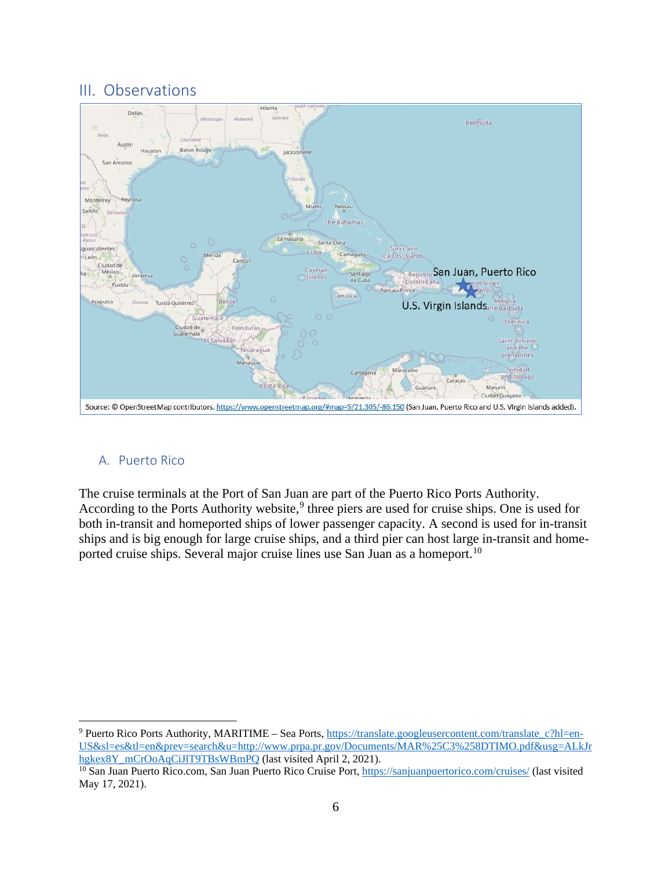# <span id="page-5-0"></span>III. Observations



#### <span id="page-5-1"></span>A. Puerto Rico

The cruise terminals at the Port of San Juan are part of the Puerto Rico Ports Authority. According to the Ports Authority website,<sup>[9](#page-5-2)</sup> three piers are used for cruise ships. One is used for both in-transit and homeported ships of lower passenger capacity. A second is used for in-transit ships and is big enough for large cruise ships, and a third pier can host large in-transit and home-ported cruise ships. Several major cruise lines use San Juan as a homeport.<sup>[10](#page-5-3)</sup>

<span id="page-5-2"></span><sup>9</sup> Puerto Rico Ports Authority, MARITIME – Sea Ports[, https://translate.googleusercontent.com/translate\\_c?hl=en-](https://translate.googleusercontent.com/translate_c?hl=en-US&sl=es&tl=en&prev=search&u=http://www.prpa.pr.gov/Documents/MAR%25C3%258DTIMO.pdf&usg=ALkJrhgkex8Y_mCrOoAqCiJlT9TBsWBmPQ)[US&sl=es&tl=en&prev=search&u=http://www.prpa.pr.gov/Documents/MAR%25C3%258DTIMO.pdf&usg=ALkJr](https://translate.googleusercontent.com/translate_c?hl=en-US&sl=es&tl=en&prev=search&u=http://www.prpa.pr.gov/Documents/MAR%25C3%258DTIMO.pdf&usg=ALkJrhgkex8Y_mCrOoAqCiJlT9TBsWBmPQ)<br>hgkex8Y mCrOoAqCiJIT9TBsWBmPQ (last visited April 2, 2021).

<span id="page-5-3"></span><sup>&</sup>lt;sup>10</sup> San Juan Puerto Rico.com, San Juan Puerto Rico Cruise Port, https://sanjuanpuertorico.com/cruises/ [\(](https://translate.googleusercontent.com/translate_c?hl=en-US&sl=es&tl=en&prev=search&u=http://www.prpa.pr.gov/Documents/MAR%25C3%258DTIMO.pdf&usg=ALkJrhgkex8Y_mCrOoAqCiJlT9TBsWBmPQ)last visited May 17, 2021).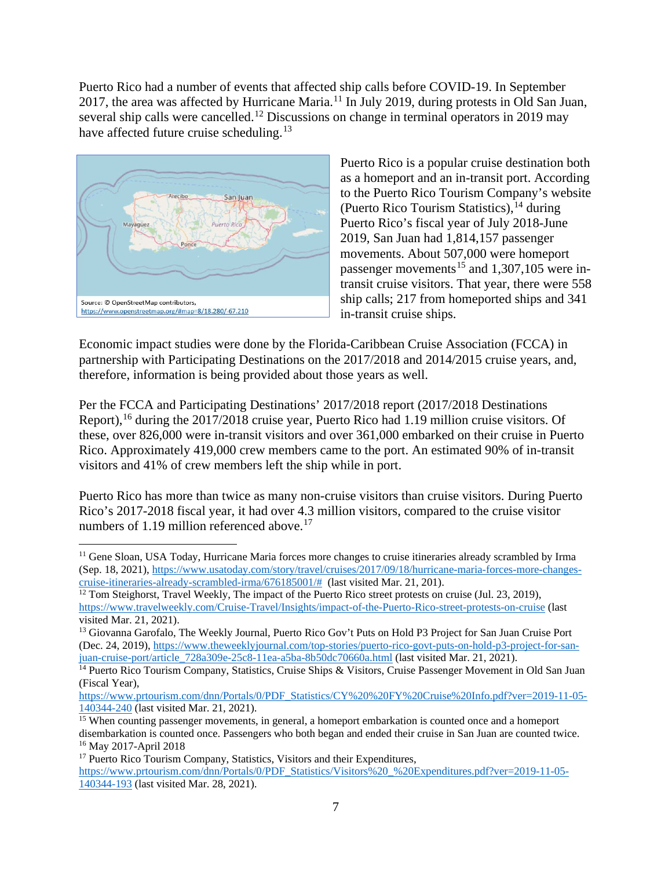Puerto Rico had a number of events that affected ship calls before COVID-19. In September 2017, the area was affected by Hurricane Maria.[11](#page-6-0) In July 2019, during protests in Old San Juan, several ship calls were cancelled.<sup>[12](#page-6-1)</sup> Discussions on change in terminal operators in 2019 may have affected future cruise scheduling.<sup>[13](#page-6-2)</sup>



Puerto Rico is a popular cruise destination both as a homeport and an in-transit port. According to the Puerto Rico Tourism Company's website (Puerto Rico Tourism Statistics),  $^{14}$  $^{14}$  $^{14}$  during Puerto Rico's fiscal year of July 2018-June 2019, San Juan had 1,814,157 passenger movements. About 507,000 were homeport passenger movements<sup>[15](#page-6-4)</sup> and 1,307,105 were intransit cruise visitors. That year, there were 558 ship calls; 217 from homeported ships and 341 in-transit cruise ships.

Economic impact studies were done by the Florida-Caribbean Cruise Association (FCCA) in partnership with Participating Destinations on the 2017/2018 and 2014/2015 cruise years, and, therefore, information is being provided about those years as well.

Per the FCCA and Participating Destinations' 2017/2018 report (2017/2018 Destinations Report),<sup>[16](#page-6-5)</sup> during the 2017/2018 cruise year, Puerto Rico had 1.19 million cruise visitors. Of these, over 826,000 were in-transit visitors and over 361,000 embarked on their cruise in Puerto Rico. Approximately 419,000 crew members came to the port. An estimated 90% of in-transit visitors and 41% of crew members left the ship while in port.

Puerto Rico has more than twice as many non-cruise visitors than cruise visitors. During Puerto Rico's 2017-2018 fiscal year, it had over 4.3 million visitors, compared to the cruise visitor numbers of 1.19 million referenced above.<sup>[17](#page-6-6)</sup>

<span id="page-6-0"></span><sup>&</sup>lt;sup>11</sup> Gene Sloan, USA Today, Hurricane Maria forces more changes to cruise itineraries already scrambled by Irma (Sep. 18, 2021), https://www.usatoday.com/story/travel/cruises/2017/09/18/hurricane-maria-forces-more-changes-<br>cruise-itineraries-already-scrambled-irma/676185001/# (last visited Mar. 21, 201).

<span id="page-6-1"></span><sup>&</sup>lt;sup>12</sup> Tom Steighorst, Travel Weekly, The impact of the Puerto Rico street protests on cruise (Jul. 23, 2019), <https://www.travelweekly.com/Cruise-Travel/Insights/impact-of-the-Puerto-Rico-street-protests-on-cruise> (last visited Mar. 21, 2021).

<span id="page-6-2"></span><sup>&</sup>lt;sup>13</sup> Giovanna Garofalo, The Weekly Journal, Puerto Rico Gov't Puts on Hold P3 Project for San Juan Cruise Port (Dec. 24, 2019), [https://www.theweeklyjournal.com/top-stories/puerto-rico-govt-puts-on-hold-p3-project-for-san](https://www.theweeklyjournal.com/top-stories/puerto-rico-govt-puts-on-hold-p3-project-for-san-juan-cruise-port/article_728a309e-25c8-11ea-a5ba-8b50dc70660a.html)[juan-cruise-port/article\\_728a309e-25c8-11ea-a5ba-8b50dc70660a.html](https://www.theweeklyjournal.com/top-stories/puerto-rico-govt-puts-on-hold-p3-project-for-san-juan-cruise-port/article_728a309e-25c8-11ea-a5ba-8b50dc70660a.html) (last visited Mar. 21, 2021).

<span id="page-6-3"></span><sup>&</sup>lt;sup>14</sup> Puerto Rico Tourism Company, Statistics, Cruise Ships & Visitors, Cruise Passenger Movement in Old San Juan (Fiscal Year),

[https://www.prtourism.com/dnn/Portals/0/PDF\\_Statistics/CY%20%20FY%20Cruise%20Info.pdf?ver=2019-11-05-](https://www.prtourism.com/dnn/Portals/0/PDF_Statistics/CY%20%20FY%20Cruise%20Info.pdf?ver=2019-11-05-140344-240)  $\frac{140344-240}{15}$  [\(](https://www.prtourism.com/dnn/Portals/0/PDF_Statistics/CY%20%20FY%20Cruise%20Info.pdf?ver=2019-11-05-140344-240)last visited Mar. 21, 2021).<br><sup>15</sup> When counting passenger movements, in general, a homeport embarkation is counted once and a homeport

<span id="page-6-4"></span>disembarkation is counted once. Passengers who both began and ended their cruise in San Juan are counted twice. <sup>16</sup> May 2017-April 2018

<span id="page-6-6"></span><span id="page-6-5"></span><sup>&</sup>lt;sup>17</sup> Puerto Rico Tourism Company, Statistics, Visitors and their Expenditures, [https://www.prtourism.com/dnn/Portals/0/PDF\\_Statistics/Visitors%20\\_%20Expenditures.pdf?ver=2019-11-05-](https://www.prtourism.com/dnn/Portals/0/PDF_Statistics/Visitors%20_%20Expenditures.pdf?ver=2019-11-05-140344-193) [140344-193](https://www.prtourism.com/dnn/Portals/0/PDF_Statistics/Visitors%20_%20Expenditures.pdf?ver=2019-11-05-140344-193) (last visited Mar. 28, 2021).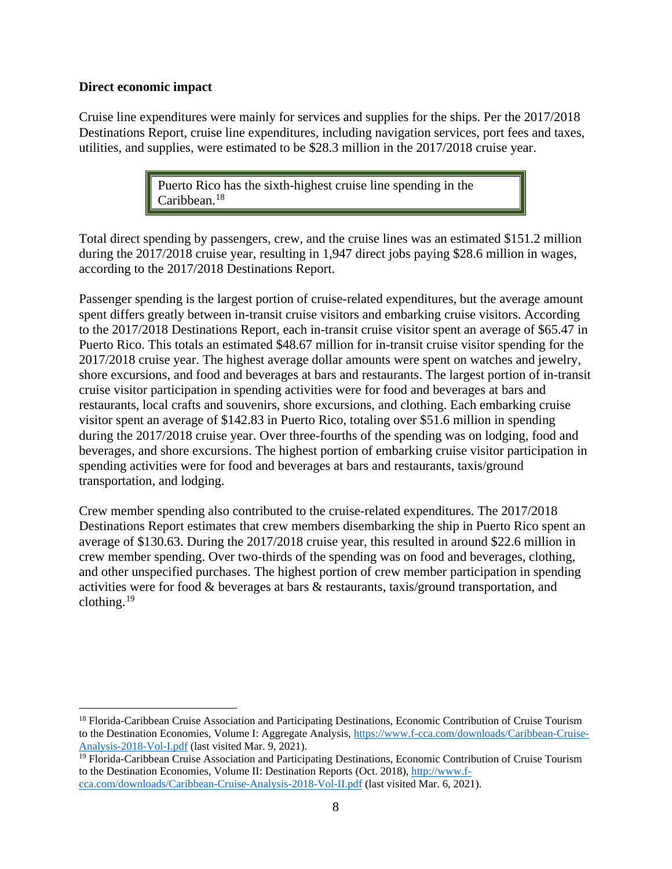#### **Direct economic impact**

Cruise line expenditures were mainly for services and supplies for the ships. Per the 2017/2018 Destinations Report, cruise line expenditures, including navigation services, port fees and taxes, utilities, and supplies, were estimated to be \$28.3 million in the 2017/2018 cruise year.

> Puerto Rico has the sixth-highest cruise line spending in the Caribbean. $18$

Total direct spending by passengers, crew, and the cruise lines was an estimated \$151.2 million during the 2017/2018 cruise year, resulting in 1,947 direct jobs paying \$28.6 million in wages, according to the 2017/2018 Destinations Report.

Passenger spending is the largest portion of cruise-related expenditures, but the average amount spent differs greatly between in-transit cruise visitors and embarking cruise visitors. According to the 2017/2018 Destinations Report, each in-transit cruise visitor spent an average of \$65.47 in Puerto Rico. This totals an estimated \$48.67 million for in-transit cruise visitor spending for the 2017/2018 cruise year. The highest average dollar amounts were spent on watches and jewelry, shore excursions, and food and beverages at bars and restaurants. The largest portion of in-transit cruise visitor participation in spending activities were for food and beverages at bars and restaurants, local crafts and souvenirs, shore excursions, and clothing. Each embarking cruise visitor spent an average of \$142.83 in Puerto Rico, totaling over \$51.6 million in spending during the 2017/2018 cruise year. Over three-fourths of the spending was on lodging, food and beverages, and shore excursions. The highest portion of embarking cruise visitor participation in spending activities were for food and beverages at bars and restaurants, taxis/ground transportation, and lodging.

Crew member spending also contributed to the cruise-related expenditures. The 2017/2018 Destinations Report estimates that crew members disembarking the ship in Puerto Rico spent an average of \$130.63. During the 2017/2018 cruise year, this resulted in around \$22.6 million in crew member spending. Over two-thirds of the spending was on food and beverages, clothing, and other unspecified purchases. The highest portion of crew member participation in spending activities were for food & beverages at bars & restaurants, taxis/ground transportation, and clothing. $19$ 

<span id="page-7-0"></span><sup>&</sup>lt;sup>18</sup> Florida-Caribbean Cruise Association and Participating Destinations, Economic Contribution of Cruise Tourism to the Destination Economies, Volume I: Aggregate Analysis, [https://www.f-cca.com/downloads/Caribbean-Cruise-](https://www.f-cca.com/downloads/Caribbean-Cruise-Analysis-2018-Vol-I.pdf)[Analysis-2018-Vol-I.pdf](https://www.f-cca.com/downloads/Caribbean-Cruise-Analysis-2018-Vol-I.pdf) (last visited Mar. 9, 2021).

<span id="page-7-1"></span><sup>&</sup>lt;sup>19</sup> Florida-Caribbean Cruise Association and Participating Destinations, Economic Contribution of Cruise Tourism to the Destination Economies, Volume II: Destination Reports (Oct. 2018), [http://www.f](http://www.f-cca.com/downloads/Caribbean-Cruise-Analysis-2018-Vol-II.pdf)[cca.com/downloads/Caribbean-Cruise-Analysis-2018-Vol-II.pdf](http://www.f-cca.com/downloads/Caribbean-Cruise-Analysis-2018-Vol-II.pdf) (last visited Mar. 6, 2021).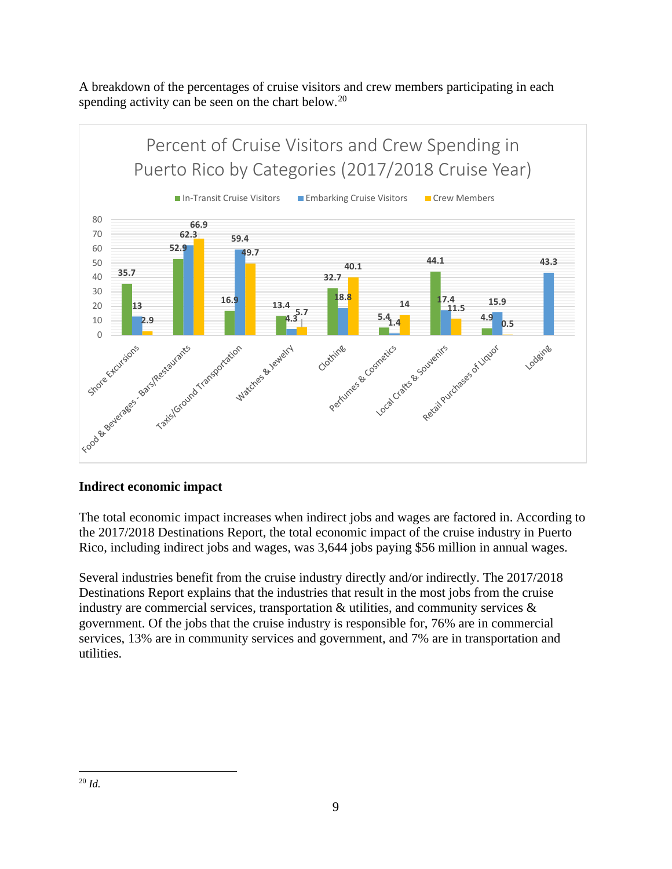A breakdown of the percentages of cruise visitors and crew members participating in each spending activity can be seen on the chart below.<sup>[20](#page-8-0)</sup>



## **Indirect economic impact**

The total economic impact increases when indirect jobs and wages are factored in. According to the 2017/2018 Destinations Report, the total economic impact of the cruise industry in Puerto Rico, including indirect jobs and wages, was 3,644 jobs paying \$56 million in annual wages.

<span id="page-8-0"></span>Several industries benefit from the cruise industry directly and/or indirectly. The 2017/2018 Destinations Report explains that the industries that result in the most jobs from the cruise industry are commercial services, transportation  $\&$  utilities, and community services  $\&$ government. Of the jobs that the cruise industry is responsible for, 76% are in commercial services, 13% are in community services and government, and 7% are in transportation and utilities.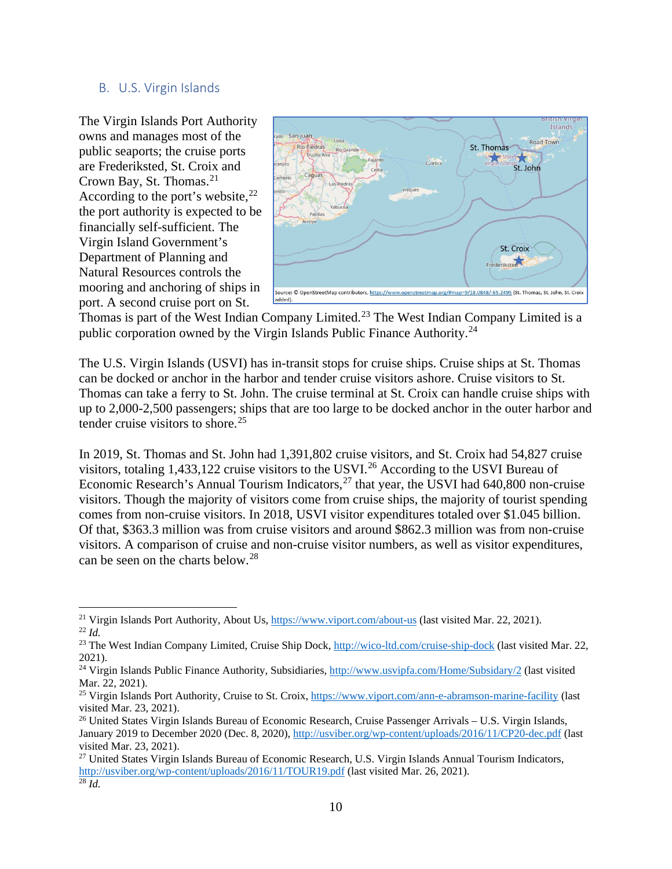#### <span id="page-9-0"></span>B. U.S. Virgin Islands

The Virgin Islands Port Authority owns and manages most of the public seaports; the cruise ports are Frederiksted, St. Croix and Crown Bay, St. Thomas.<sup>[21](#page-9-1)</sup> According to the port's website,  $22$ the port authority is expected to be financially self-sufficient. The Virgin Island Government's Department of Planning and Natural Resources controls the mooring and anchoring of ships in port. A second cruise port on St.



Thomas is part of the West Indian Company Limited.<sup>[23](#page-9-3)</sup> The West Indian Company Limited is a public corporation owned by the Virgin Islands Public Finance Authority.<sup>[24](#page-9-4)</sup>

The U.S. Virgin Islands (USVI) has in-transit stops for cruise ships. Cruise ships at St. Thomas can be docked or anchor in the harbor and tender cruise visitors ashore. Cruise visitors to St. Thomas can take a ferry to St. John. The cruise terminal at St. Croix can handle cruise ships with up to 2,000-2,500 passengers; ships that are too large to be docked anchor in the outer harbor and tender cruise visitors to shore.<sup>[25](#page-9-5)</sup>

In 2019, St. Thomas and St. John had 1,391,802 cruise visitors, and St. Croix had 54,827 cruise visitors, totaling 1,433,122 cruise visitors to the USVI.[26](#page-9-6) According to the USVI Bureau of Economic Research's Annual Tourism Indicators, $^{27}$  $^{27}$  $^{27}$  that year, the USVI had 640,800 non-cruise visitors. Though the majority of visitors come from cruise ships, the majority of tourist spending comes from non-cruise visitors. In 2018, USVI visitor expenditures totaled over \$1.045 billion. Of that, \$363.3 million was from cruise visitors and around \$862.3 million was from non-cruise visitors. A comparison of cruise and non-cruise visitor numbers, as well as visitor expenditures, can be seen on the charts below. [28](#page-9-8)

<span id="page-9-2"></span><span id="page-9-1"></span><sup>&</sup>lt;sup>21</sup> Virgin Islands Port Authority, About Us, <u>https://www.viport.com/about-us</u> (last visited Mar. 22, 2021). <sup>22</sup> *Id.* 

<span id="page-9-3"></span><sup>&</sup>lt;sup>23</sup> The West Indian Company Limited, Cruise Ship Dock,<http://wico-ltd.com/cruise-ship-dock> (last visited Mar. 22, 2021).

<span id="page-9-4"></span><sup>&</sup>lt;sup>24</sup> Virgin Islands Public Finance Authority, Subsidiaries,<http://www.usvipfa.com/Home/Subsidary/2> (last visited Mar. 22, 2021).

<span id="page-9-5"></span><sup>25</sup> Virgin Islands Port Authority, Cruise to St. Croix[, https://www.viport.com/ann-e-abramson-marine-facility](https://www.viport.com/ann-e-abramson-marine-facility) (last visited Mar. 23, 2021).

<span id="page-9-6"></span><sup>26</sup> United States Virgin Islands Bureau of Economic Research, Cruise Passenger Arrivals – U.S. Virgin Islands, January 2019 to December 2020 (Dec. 8, 2020),<http://usviber.org/wp-content/uploads/2016/11/CP20-dec.pdf> (last visited Mar. 23, 2021).

<span id="page-9-8"></span><span id="page-9-7"></span><sup>27</sup> United States Virgin Islands Bureau of Economic Research, U.S. Virgin Islands Annual Tourism Indicators, http://usviber.org/wp-content/uploads/2016/11/TOUR19.pdf (last visited Mar. 26, 2021). 28 *Id.*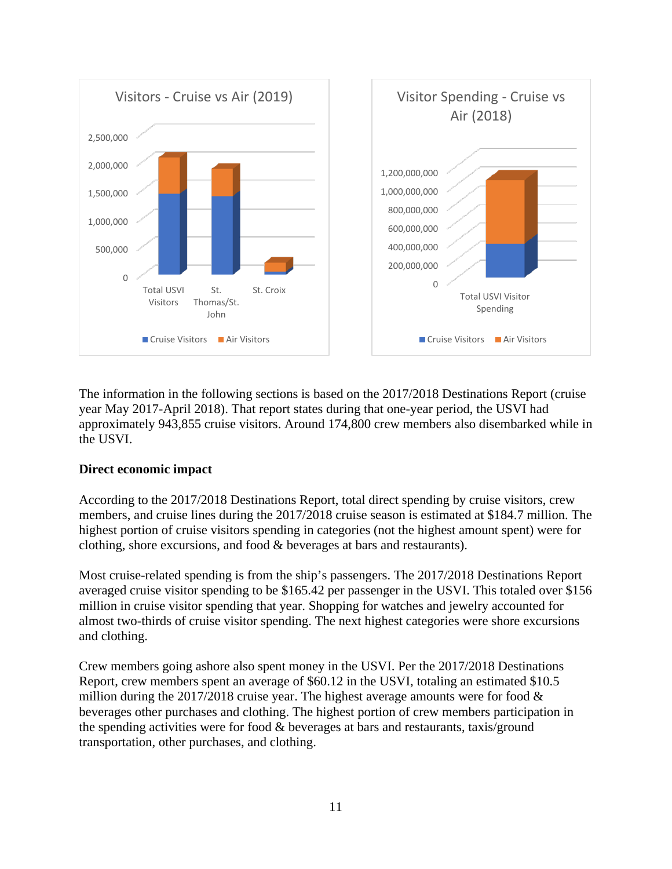

The information in the following sections is based on the 2017/2018 Destinations Report (cruise year May 2017-April 2018). That report states during that one-year period, the USVI had approximately 943,855 cruise visitors. Around 174,800 crew members also disembarked while in the USVI.

#### **Direct economic impact**

According to the 2017/2018 Destinations Report, total direct spending by cruise visitors, crew members, and cruise lines during the 2017/2018 cruise season is estimated at \$184.7 million. The highest portion of cruise visitors spending in categories (not the highest amount spent) were for clothing, shore excursions, and food & beverages at bars and restaurants).

Most cruise-related spending is from the ship's passengers. The 2017/2018 Destinations Report averaged cruise visitor spending to be \$165.42 per passenger in the USVI. This totaled over \$156 million in cruise visitor spending that year. Shopping for watches and jewelry accounted for almost two-thirds of cruise visitor spending. The next highest categories were shore excursions and clothing.

Crew members going ashore also spent money in the USVI. Per the 2017/2018 Destinations Report, crew members spent an average of \$60.12 in the USVI, totaling an estimated \$10.5 million during the 2017/2018 cruise year. The highest average amounts were for food  $\&$ beverages other purchases and clothing. The highest portion of crew members participation in the spending activities were for food & beverages at bars and restaurants, taxis/ground transportation, other purchases, and clothing.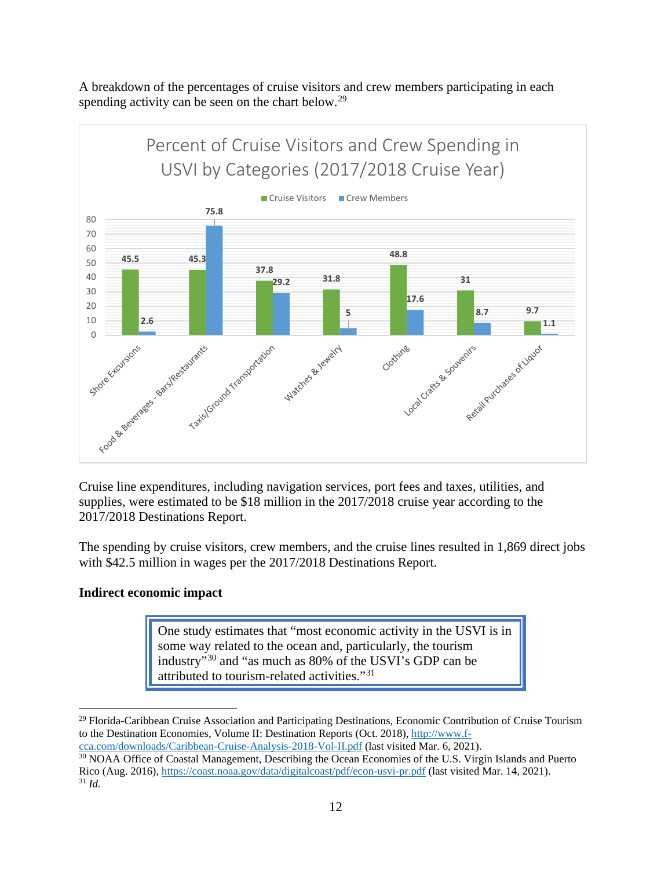A breakdown of the percentages of cruise visitors and crew members participating in each spending activity can be seen on the chart below.<sup>[29](#page-11-0)</sup>



Cruise line expenditures, including navigation services, port fees and taxes, utilities, and supplies, were estimated to be \$18 million in the 2017/2018 cruise year according to the 2017/2018 Destinations Report.

The spending by cruise visitors, crew members, and the cruise lines resulted in 1,869 direct jobs with \$42.5 million in wages per the 2017/2018 Destinations Report.

#### **Indirect economic impact**

One study estimates that "most economic activity in the USVI is in some way related to the ocean and, particularly, the tourism industry"[30](#page-11-1) and "as much as 80% of the USVI's GDP can be attributed to tourism-related activities."[31](#page-11-2)

<span id="page-11-0"></span><sup>29</sup> Florida-Caribbean Cruise Association and Participating Destinations, Economic Contribution of Cruise Tourism to the Destination Economies, Volume II: Destination Reports (Oct. 2018), [http://www.f](http://www.f-cca.com/downloads/Caribbean-Cruise-Analysis-2018-Vol-II.pdf)[cca.com/downloads/Caribbean-Cruise-Analysis-2018-Vol-II.pdf](http://www.f-cca.com/downloads/Caribbean-Cruise-Analysis-2018-Vol-II.pdf) (last visited Mar. 6, 2021).

<span id="page-11-2"></span><span id="page-11-1"></span><sup>&</sup>lt;sup>30</sup> NOAA Office of Coastal Management, Describing the Ocean Economies of the U.S. Virgin Islands and Puerto Rico (Aug. 2016),<https://coast.noaa.gov/data/digitalcoast/pdf/econ-usvi-pr.pdf> (last visited Mar. 14, 2021). <sup>31</sup> *Id.*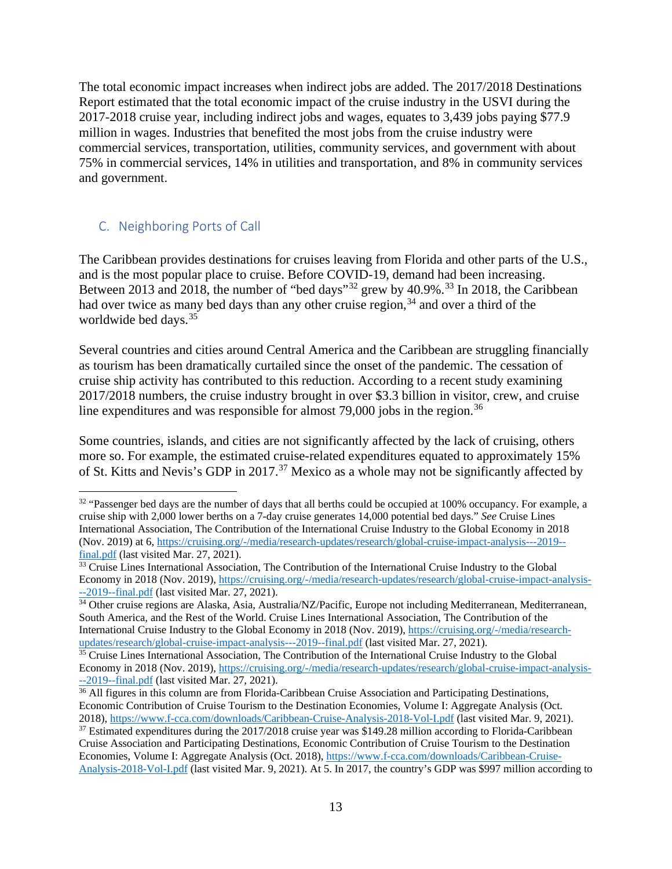The total economic impact increases when indirect jobs are added. The 2017/2018 Destinations Report estimated that the total economic impact of the cruise industry in the USVI during the 2017-2018 cruise year, including indirect jobs and wages, equates to 3,439 jobs paying \$77.9 million in wages. Industries that benefited the most jobs from the cruise industry were commercial services, transportation, utilities, community services, and government with about 75% in commercial services, 14% in utilities and transportation, and 8% in community services and government.

## <span id="page-12-0"></span>C. Neighboring Ports of Call

The Caribbean provides destinations for cruises leaving from Florida and other parts of the U.S., and is the most popular place to cruise. Before COVID-19, demand had been increasing. Between 2013 and 2018, the number of "bed days"<sup>[32](#page-12-1)</sup> grew by  $40.9\%$ <sup>[33](#page-12-2)</sup> In 2018, the Caribbean had over twice as many bed days than any other cruise region,<sup>[34](#page-12-3)</sup> and over a third of the worldwide bed days.<sup>[35](#page-12-4)</sup>

Several countries and cities around Central America and the Caribbean are struggling financially as tourism has been dramatically curtailed since the onset of the pandemic. The cessation of cruise ship activity has contributed to this reduction. According to a recent study examining 2017/2018 numbers, the cruise industry brought in over \$3.3 billion in visitor, crew, and cruise line expenditures and was responsible for almost 79,000 jobs in the region.<sup>[36](#page-12-5)</sup>

Some countries, islands, and cities are not significantly affected by the lack of cruising, others more so. For example, the estimated cruise-related expenditures equated to approximately 15% of St. Kitts and Nevis's GDP in 2017.<sup>[37](#page-12-6)</sup> Mexico as a whole may not be significantly affected by

<span id="page-12-1"></span><sup>&</sup>lt;sup>32</sup> "Passenger bed days are the number of days that all berths could be occupied at 100% occupancy. For example, a cruise ship with 2,000 lower berths on a 7-day cruise generates 14,000 potential bed days." *See* Cruise Lines International Association, The Contribution of the International Cruise Industry to the Global Economy in 2018 (Nov. 2019) at 6, [https://cruising.org/-/media/research-updates/research/global-cruise-impact-analysis---2019-](https://cruising.org/-/media/research-updates/research/global-cruise-impact-analysis---2019--final.pdf) [final.pdf](https://cruising.org/-/media/research-updates/research/global-cruise-impact-analysis---2019--final.pdf) (last visited Mar. 27, 2021).

<span id="page-12-2"></span><sup>&</sup>lt;sup>33</sup> Cruise Lines International Association, The Contribution of the International Cruise Industry to the Global Economy in 2018 (Nov. 2019), [https://cruising.org/-/media/research-updates/research/global-cruise-impact-analysis-](https://cruising.org/-/media/research-updates/research/global-cruise-impact-analysis---2019--final.pdf) [--2019--final.pdf](https://cruising.org/-/media/research-updates/research/global-cruise-impact-analysis---2019--final.pdf) (last visited Mar. 27, 2021).

<span id="page-12-3"></span><sup>&</sup>lt;sup>34</sup> Other cruise regions are Alaska, Asia, Australia/NZ/Pacific, Europe not including Mediterranean, Mediterranean, South America, and the Rest of the World. Cruise Lines International Association, The Contribution of the International Cruise Industry to the Global Economy in 2018 (Nov. 2019), [https://cruising.org/-/media/research](https://cruising.org/-/media/research-updates/research/global-cruise-impact-analysis---2019--final.pdf)[updates/research/global-cruise-impact-analysis---2019--final.pdf](https://cruising.org/-/media/research-updates/research/global-cruise-impact-analysis---2019--final.pdf) (last visited Mar. 27, 2021).

<span id="page-12-4"></span><sup>&</sup>lt;sup>35</sup> Cruise Lines International Association, The Contribution of the International Cruise Industry to the Global Economy in 2018 (Nov. 2019), [https://cruising.org/-/media/research-updates/research/global-cruise-impact-analysis-](https://cruising.org/-/media/research-updates/research/global-cruise-impact-analysis---2019--final.pdf) [--2019--final.pdf](https://cruising.org/-/media/research-updates/research/global-cruise-impact-analysis---2019--final.pdf) (last visited Mar. 27, 2021).

<span id="page-12-5"></span><sup>&</sup>lt;sup>36</sup> All figures in this column are from Florida-Caribbean Cruise Association and Participating Destinations, Economic Contribution of Cruise Tourism to the Destination Economies, Volume I: Aggregate Analysis (Oct. 2018),<https://www.f-cca.com/downloads/Caribbean-Cruise-Analysis-2018-Vol-I.pdf> (last visited Mar. 9, 2021).

<span id="page-12-6"></span><sup>&</sup>lt;sup>37</sup> Estimated expenditures during the 2017/2018 cruise year was \$149.28 million according to Florida-Caribbean Cruise Association and Participating Destinations, Economic Contribution of Cruise Tourism to the Destination Economies, Volume I: Aggregate Analysis (Oct. 2018)[, https://www.f-cca.com/downloads/Caribbean-Cruise-](https://www.f-cca.com/downloads/Caribbean-Cruise-Analysis-2018-Vol-I.pdf)[Analysis-2018-Vol-I.pdf](https://www.f-cca.com/downloads/Caribbean-Cruise-Analysis-2018-Vol-I.pdf) (last visited Mar. 9, 2021). At 5. In 2017, the country's GDP was \$997 million according to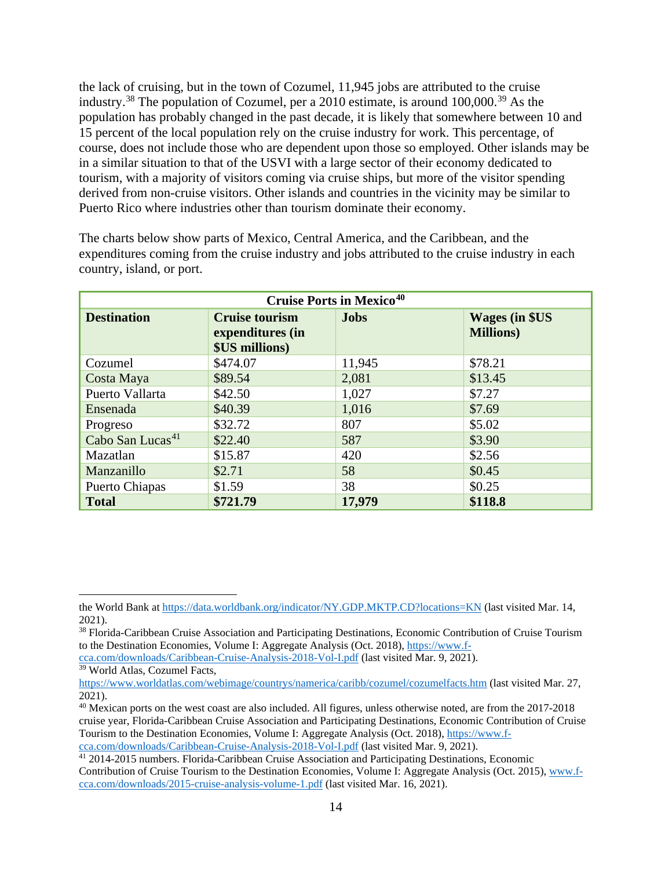the lack of cruising, but in the town of Cozumel, 11,945 jobs are attributed to the cruise industry.<sup>[38](#page-13-0)</sup> The population of Cozumel, per a 2010 estimate, is around 100,000.<sup>[39](#page-13-1)</sup> As the population has probably changed in the past decade, it is likely that somewhere between 10 and 15 percent of the local population rely on the cruise industry for work. This percentage, of course, does not include those who are dependent upon those so employed. Other islands may be in a similar situation to that of the USVI with a large sector of their economy dedicated to tourism, with a majority of visitors coming via cruise ships, but more of the visitor spending derived from non-cruise visitors. Other islands and countries in the vicinity may be similar to Puerto Rico where industries other than tourism dominate their economy.

The charts below show parts of Mexico, Central America, and the Caribbean, and the expenditures coming from the cruise industry and jobs attributed to the cruise industry in each country, island, or port.

| <b>Cruise Ports in Mexico<sup>40</sup></b> |                                                                    |             |                                             |  |  |
|--------------------------------------------|--------------------------------------------------------------------|-------------|---------------------------------------------|--|--|
| <b>Destination</b>                         | <b>Cruise tourism</b><br>expenditures (in<br><b>\$US millions)</b> | <b>Jobs</b> | <b>Wages (in \$US)</b><br><b>Millions</b> ) |  |  |
| Cozumel                                    | \$474.07                                                           | 11,945      | \$78.21                                     |  |  |
| Costa Maya                                 | \$89.54                                                            | 2,081       | \$13.45                                     |  |  |
| Puerto Vallarta                            | \$42.50                                                            | 1,027       | \$7.27                                      |  |  |
| Ensenada                                   | \$40.39                                                            | 1,016       | \$7.69                                      |  |  |
| Progreso                                   | \$32.72                                                            | 807         | \$5.02                                      |  |  |
| Cabo San Lucas <sup>41</sup>               | \$22.40                                                            | 587         | \$3.90                                      |  |  |
| Mazatlan                                   | \$15.87                                                            | 420         | \$2.56                                      |  |  |
| Manzanillo                                 | \$2.71                                                             | 58          | \$0.45                                      |  |  |
| Puerto Chiapas                             | \$1.59                                                             | 38          | \$0.25                                      |  |  |
| <b>Total</b>                               | \$721.79                                                           | 17,979      | \$118.8                                     |  |  |

the World Bank at<https://data.worldbank.org/indicator/NY.GDP.MKTP.CD?locations=KN> (last visited Mar. 14, 2021).

<span id="page-13-0"></span><sup>38</sup> Florida-Caribbean Cruise Association and Participating Destinations, Economic Contribution of Cruise Tourism to the Destination Economies, Volume I: Aggregate Analysis (Oct. 2018), [https://www.f-](https://www.f-cca.com/downloads/Caribbean-Cruise-Analysis-2018-Vol-I.pdf)

[cca.com/downloads/Caribbean-Cruise-Analysis-2018-Vol-I.pdf](https://www.f-cca.com/downloads/Caribbean-Cruise-Analysis-2018-Vol-I.pdf) (last visited Mar. 9, 2021). <sup>39</sup> World Atlas, Cozumel Facts,

<span id="page-13-1"></span><https://www.worldatlas.com/webimage/countrys/namerica/caribb/cozumel/cozumelfacts.htm> (last visited Mar. 27, 2021).

<span id="page-13-2"></span><sup>&</sup>lt;sup>40</sup> Mexican ports on the west coast are also included. All figures, unless otherwise noted, are from the 2017-2018 cruise year, Florida-Caribbean Cruise Association and Participating Destinations, Economic Contribution of Cruise Tourism to the Destination Economies, Volume I: Aggregate Analysis (Oct. 2018), [https://www.f](https://www.f-cca.com/downloads/Caribbean-Cruise-Analysis-2018-Vol-I.pdf)cca.com/downloads/Caribbean-Cruise-Analysis-2018-Vol-I.pdf (last visited Mar. 9, 2021). 41 2014-2015 numbers. Florida-Caribbean Cruise Association and Participating Destinations, Economic

<span id="page-13-3"></span>Contribution of Cruise Tourism to the Destination Economies, Volume I: Aggregate Analysis (Oct. 2015)[, www.f](http://www.f-cca.com/downloads/2015-cruise-analysis-volume-1.pdf)[cca.com/downloads/2015-cruise-analysis-volume-1.pdf](http://www.f-cca.com/downloads/2015-cruise-analysis-volume-1.pdf) (last visited Mar. 16, 2021).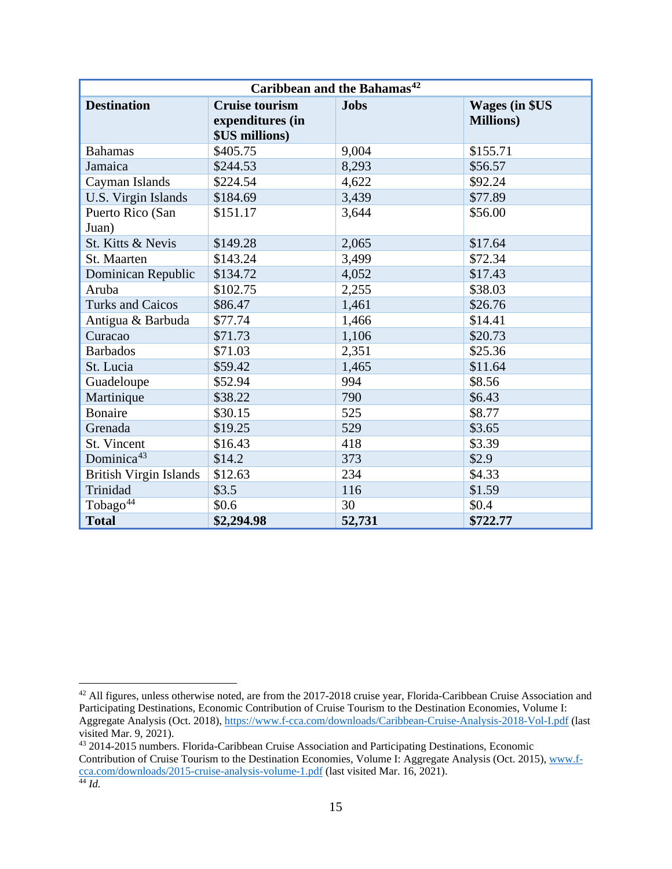| Caribbean and the Bahamas <sup>42</sup> |                                                                    |             |                                            |  |  |  |
|-----------------------------------------|--------------------------------------------------------------------|-------------|--------------------------------------------|--|--|--|
| <b>Destination</b>                      | <b>Cruise tourism</b><br>expenditures (in<br><b>\$US millions)</b> | <b>Jobs</b> | <b>Wages (in \$US</b><br><b>Millions</b> ) |  |  |  |
| <b>Bahamas</b>                          | \$405.75                                                           | 9,004       | \$155.71                                   |  |  |  |
| Jamaica                                 | \$244.53                                                           | 8,293       | \$56.57                                    |  |  |  |
| Cayman Islands                          | \$224.54                                                           | 4,622       | \$92.24                                    |  |  |  |
| U.S. Virgin Islands                     | \$184.69                                                           | 3,439       | \$77.89                                    |  |  |  |
| Puerto Rico (San<br>Juan)               | \$151.17                                                           | 3,644       | \$56.00                                    |  |  |  |
| St. Kitts & Nevis                       | \$149.28                                                           | 2,065       | \$17.64                                    |  |  |  |
| St. Maarten                             | \$143.24                                                           | 3,499       | \$72.34                                    |  |  |  |
| Dominican Republic                      | \$134.72                                                           | 4,052       | \$17.43                                    |  |  |  |
| Aruba                                   | \$102.75                                                           | 2,255       | \$38.03                                    |  |  |  |
| <b>Turks and Caicos</b>                 | \$86.47                                                            | 1,461       | \$26.76                                    |  |  |  |
| Antigua & Barbuda                       | \$77.74                                                            | 1,466       | \$14.41                                    |  |  |  |
| Curacao                                 | \$71.73                                                            | 1,106       | \$20.73                                    |  |  |  |
| <b>Barbados</b>                         | \$71.03                                                            | 2,351       | \$25.36                                    |  |  |  |
| St. Lucia                               | \$59.42                                                            | 1,465       | \$11.64                                    |  |  |  |
| Guadeloupe                              | \$52.94                                                            | 994         | \$8.56                                     |  |  |  |
| Martinique                              | \$38.22                                                            | 790         | \$6.43                                     |  |  |  |
| <b>Bonaire</b>                          | \$30.15                                                            | 525         | \$8.77                                     |  |  |  |
| Grenada                                 | \$19.25                                                            | 529         | \$3.65                                     |  |  |  |
| St. Vincent                             | \$16.43                                                            | 418         | \$3.39                                     |  |  |  |
| Dominica <sup>43</sup>                  | \$14.2                                                             | 373         | \$2.9                                      |  |  |  |
| <b>British Virgin Islands</b>           | \$12.63                                                            | 234         | \$4.33                                     |  |  |  |
| Trinidad                                | \$3.5                                                              | 116         | \$1.59                                     |  |  |  |
| Tobago <sup>44</sup>                    | \$0.6                                                              | 30          | \$0.4                                      |  |  |  |
| <b>Total</b>                            | \$2,294.98                                                         | 52,731      | \$722.77                                   |  |  |  |

<span id="page-14-0"></span><sup>&</sup>lt;sup>42</sup> All figures, unless otherwise noted, are from the 2017-2018 cruise year, Florida-Caribbean Cruise Association and Participating Destinations, Economic Contribution of Cruise Tourism to the Destination Economies, Volume I: Aggregate Analysis (Oct. 2018)[, https://www.f-cca.com/downloads/Caribbean-Cruise-Analysis-2018-Vol-I.pdf](https://www.f-cca.com/downloads/Caribbean-Cruise-Analysis-2018-Vol-I.pdf) (last visited Mar. 9, 2021).

<span id="page-14-2"></span><span id="page-14-1"></span><sup>43</sup> 2014-2015 numbers. Florida-Caribbean Cruise Association and Participating Destinations, Economic Contribution of Cruise Tourism to the Destination Economies, Volume I: Aggregate Analysis (Oct. 2015)[, www.f](http://www.f-cca.com/downloads/2015-cruise-analysis-volume-1.pdf)[cca.com/downloads/2015-cruise-analysis-volume-1.pdf](http://www.f-cca.com/downloads/2015-cruise-analysis-volume-1.pdf) (last visited Mar. 16, 2021). <sup>44</sup> *Id.*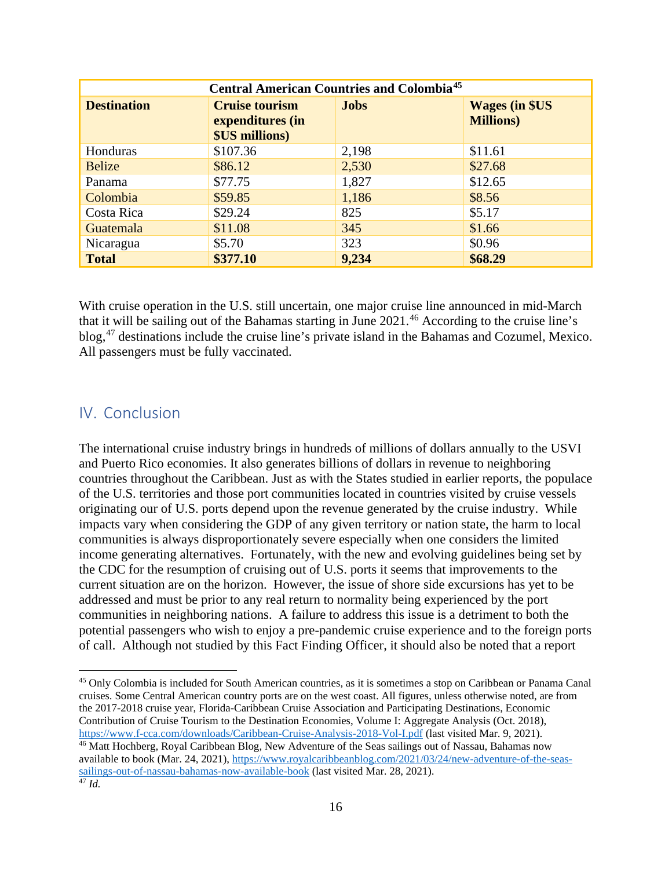| <b>Central American Countries and Colombia<sup>45</sup></b> |                                                                                 |             |                                             |  |  |
|-------------------------------------------------------------|---------------------------------------------------------------------------------|-------------|---------------------------------------------|--|--|
| <b>Destination</b>                                          | <b>Cruise tourism</b><br>expenditures (in<br><b><i><u>\$US millions</u></i></b> | <b>Jobs</b> | <b>Wages (in \$US)</b><br><b>Millions</b> ) |  |  |
| Honduras                                                    | \$107.36                                                                        | 2,198       | \$11.61                                     |  |  |
| <b>Belize</b>                                               | \$86.12                                                                         | 2,530       | \$27.68                                     |  |  |
| Panama                                                      | \$77.75                                                                         | 1,827       | \$12.65                                     |  |  |
| Colombia                                                    | \$59.85                                                                         | 1,186       | \$8.56                                      |  |  |
| Costa Rica                                                  | \$29.24                                                                         | 825         | \$5.17                                      |  |  |
| Guatemala                                                   | \$11.08                                                                         | 345         | \$1.66                                      |  |  |
| Nicaragua                                                   | \$5.70                                                                          | 323         | \$0.96                                      |  |  |
| <b>Total</b>                                                | \$377.10                                                                        | 9,234       | \$68.29                                     |  |  |

With cruise operation in the U.S. still uncertain, one major cruise line announced in mid-March that it will be sailing out of the Bahamas starting in June 2021. [46](#page-15-2) According to the cruise line's blog,[47](#page-15-3) destinations include the cruise line's private island in the Bahamas and Cozumel, Mexico. All passengers must be fully vaccinated.

## <span id="page-15-0"></span>IV. Conclusion

The international cruise industry brings in hundreds of millions of dollars annually to the USVI and Puerto Rico economies. It also generates billions of dollars in revenue to neighboring countries throughout the Caribbean. Just as with the States studied in earlier reports, the populace of the U.S. territories and those port communities located in countries visited by cruise vessels originating our of U.S. ports depend upon the revenue generated by the cruise industry. While impacts vary when considering the GDP of any given territory or nation state, the harm to local communities is always disproportionately severe especially when one considers the limited income generating alternatives. Fortunately, with the new and evolving guidelines being set by the CDC for the resumption of cruising out of U.S. ports it seems that improvements to the current situation are on the horizon. However, the issue of shore side excursions has yet to be addressed and must be prior to any real return to normality being experienced by the port communities in neighboring nations. A failure to address this issue is a detriment to both the potential passengers who wish to enjoy a pre-pandemic cruise experience and to the foreign ports of call. Although not studied by this Fact Finding Officer, it should also be noted that a report

<span id="page-15-1"></span><sup>&</sup>lt;sup>45</sup> Only Colombia is included for South American countries, as it is sometimes a stop on Caribbean or Panama Canal cruises. Some Central American country ports are on the west coast. All figures, unless otherwise noted, are from the 2017-2018 cruise year, Florida-Caribbean Cruise Association and Participating Destinations, Economic Contribution of Cruise Tourism to the Destination Economies, Volume I: Aggregate Analysis (Oct. 2018), <https://www.f-cca.com/downloads/Caribbean-Cruise-Analysis-2018-Vol-I.pdf> (last visited Mar. 9, 2021).

<span id="page-15-3"></span><span id="page-15-2"></span><sup>&</sup>lt;sup>46</sup> Matt Hochberg, Royal Caribbean Blog, New Adventure of the Seas sailings out of Nassau, Bahamas now available to book (Mar. 24, 2021)[, https://www.royalcaribbeanblog.com/2021/03/24/new-adventure-of-the-seas](https://www.royalcaribbeanblog.com/2021/03/24/new-adventure-of-the-seas-sailings-out-of-nassau-bahamas-now-available-book)sailings-out-of-nassau-bahamas-now-available-book (last visited Mar. 28, 2021).